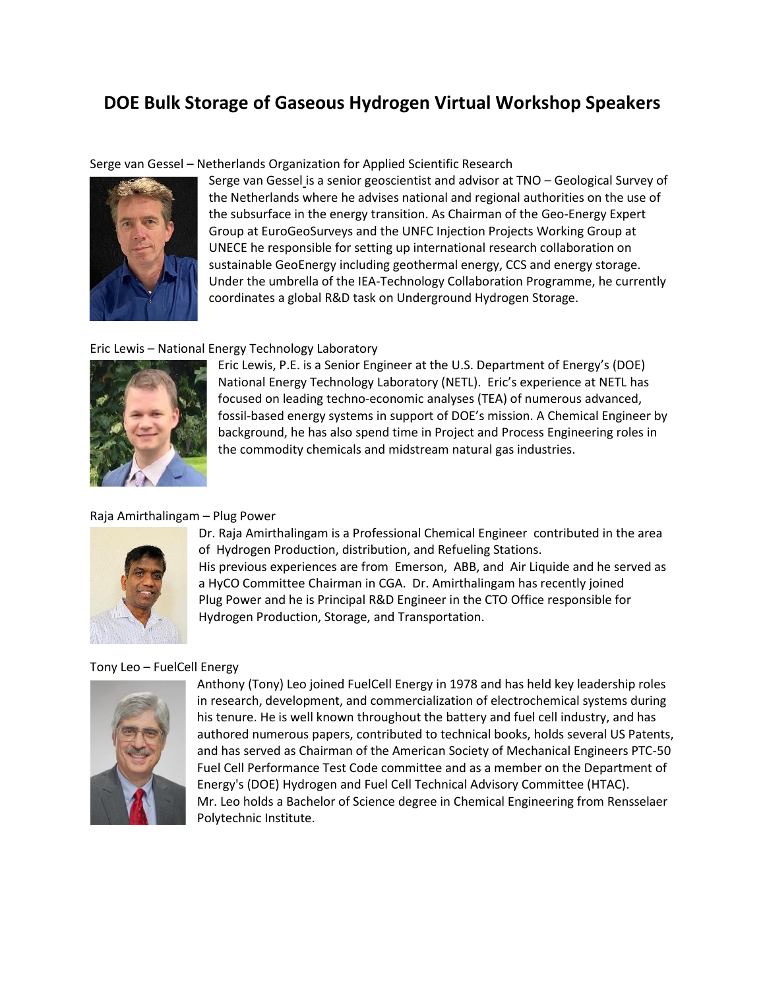# **DOE Bulk Storage of Gaseous Hydrogen Virtual Workshop Speakers**

Serge van Gessel – Netherlands Organization for Applied Scientific Research



Serge van Gessel is a senior geoscientist and advisor at TNO – Geological Survey of the Netherlands where he advises national and regional authorities on the use of the subsurface in the energy transition. As Chairman of the Geo-Energy Expert Group at EuroGeoSurveys and the UNFC Injection Projects Working Group at UNECE he responsible for setting up international research collaboration on sustainable GeoEnergy including geothermal energy, CCS and energy storage. Under the umbrella of the IEA-Technology Collaboration Programme, he currently coordinates a global R&D task on Underground Hydrogen Storage.

## Eric Lewis – National Energy Technology Laboratory



Eric Lewis, P.E. is a Senior Engineer at the U.S. Department of Energy's (DOE) National Energy Technology Laboratory (NETL). Eric's experience at NETL has focused on leading techno-economic analyses (TEA) of numerous advanced, fossil-based energy systems in support of DOE's mission. A Chemical Engineer by background, he has also spend time in Project and Process Engineering roles in the commodity chemicals and midstream natural gas industries.

## Raja Amirthalingam – Plug Power



Dr. Raja Amirthalingam is a Professional Chemical Engineer contributed in the area of Hydrogen Production, distribution, and Refueling Stations. His previous experiences are from Emerson, ABB, and Air Liquide and he served as a HyCO Committee Chairman in CGA. Dr. Amirthalingam has recently joined Plug Power and he is Principal R&D Engineer in the CTO Office responsible for Hydrogen Production, Storage, and Transportation.

## Tony Leo – FuelCell Energy



Anthony (Tony) Leo joined FuelCell Energy in 1978 and has held key leadership roles in research, development, and commercialization of electrochemical systems during his tenure. He is well known throughout the battery and fuel cell industry, and has authored numerous papers, contributed to technical books, holds several US Patents, and has served as Chairman of the American Society of Mechanical Engineers PTC-50 Fuel Cell Performance Test Code committee and as a member on the Department of Energy's (DOE) Hydrogen and Fuel Cell Technical Advisory Committee (HTAC). Mr. Leo holds a Bachelor of Science degree in Chemical Engineering from Rensselaer Polytechnic Institute.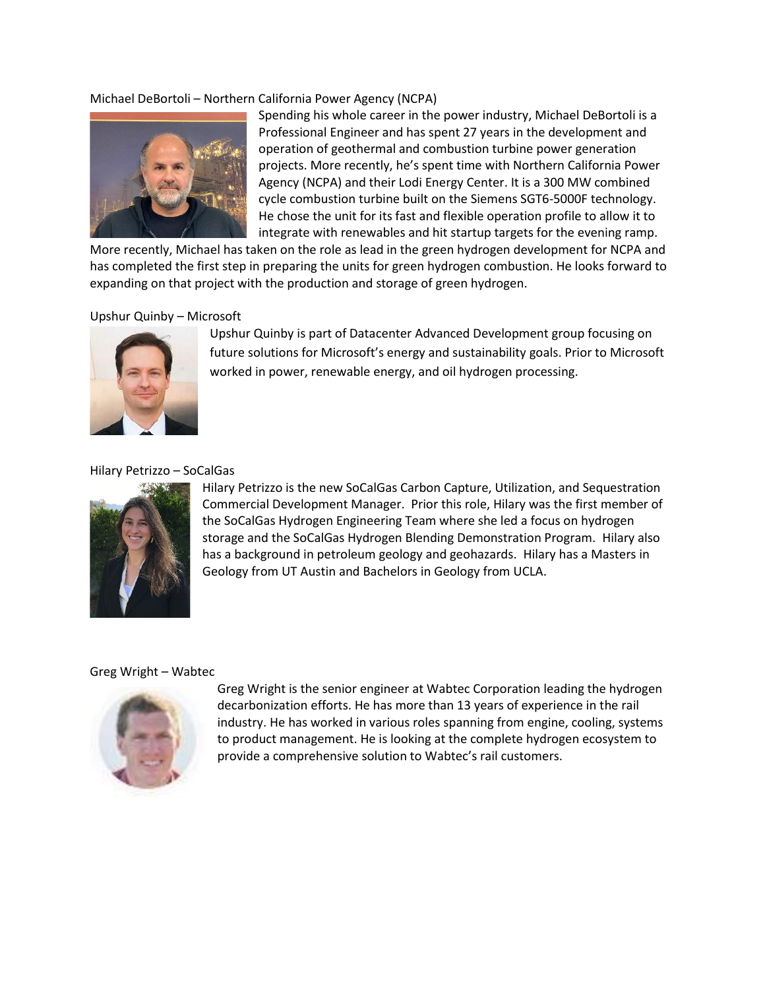## Michael DeBortoli – Northern California Power Agency (NCPA)



Spending his whole career in the power industry, Michael DeBortoli is a Professional Engineer and has spent 27 years in the development and operation of geothermal and combustion turbine power generation projects. More recently, he's spent time with Northern California Power Agency (NCPA) and their Lodi Energy Center. It is a 300 MW combined cycle combustion turbine built on the Siemens SGT6-5000F technology. He chose the unit for its fast and flexible operation profile to allow it to integrate with renewables and hit startup targets for the evening ramp.

More recently, Michael has taken on the role as lead in the green hydrogen development for NCPA and has completed the first step in preparing the units for green hydrogen combustion. He looks forward to expanding on that project with the production and storage of green hydrogen.

#### Upshur Quinby – Microsoft



Upshur Quinby is part of Datacenter Advanced Development group focusing on future solutions for Microsoft's energy and sustainability goals. Prior to Microsoft worked in power, renewable energy, and oil hydrogen processing.

## Hilary Petrizzo – SoCalGas



Hilary Petrizzo is the new SoCalGas Carbon Capture, Utilization, and Sequestration Commercial Development Manager. Prior this role, Hilary was the first member of the SoCalGas Hydrogen Engineering Team where she led a focus on hydrogen storage and the SoCalGas Hydrogen Blending Demonstration Program. Hilary also has a background in petroleum geology and geohazards. Hilary has a Masters in Geology from UT Austin and Bachelors in Geology from UCLA.

#### Greg Wright – Wabtec



Greg Wright is the senior engineer at Wabtec Corporation leading the hydrogen decarbonization efforts. He has more than 13 years of experience in the rail industry. He has worked in various roles spanning from engine, cooling, systems to product management. He is looking at the complete hydrogen ecosystem to provide a comprehensive solution to Wabtec's rail customers.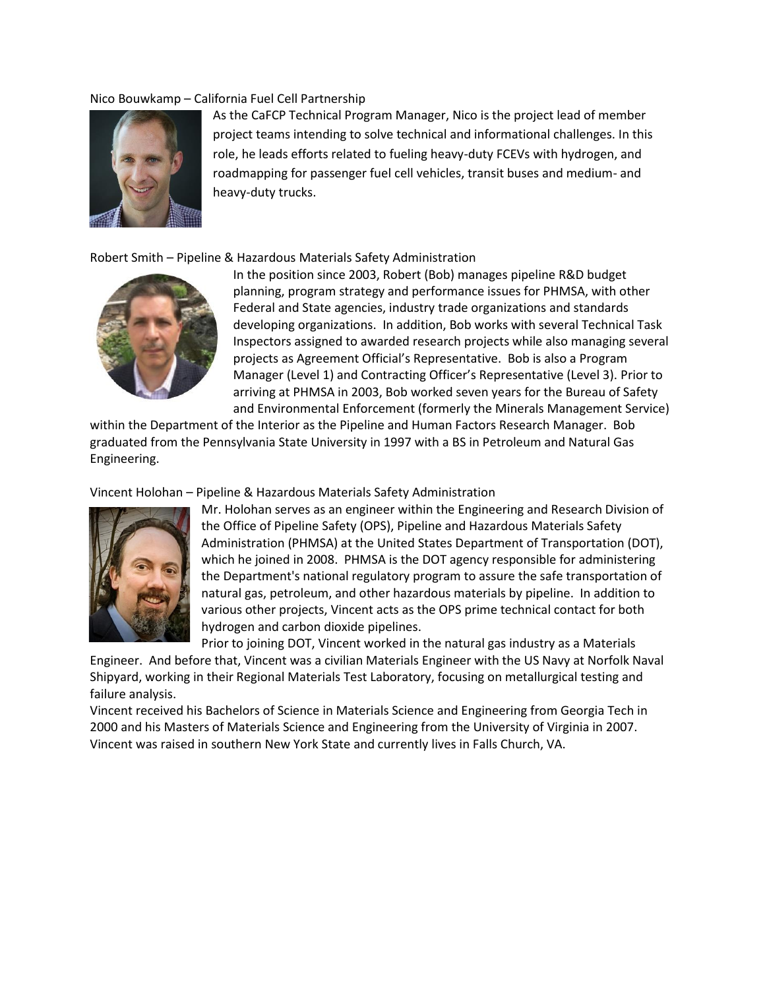### Nico Bouwkamp – California Fuel Cell Partnership



As the CaFCP Technical Program Manager, Nico is the project lead of member project teams intending to solve technical and informational challenges. In this role, he leads efforts related to fueling heavy-duty FCEVs with hydrogen, and roadmapping for passenger fuel cell vehicles, transit buses and medium- and heavy-duty trucks.

## Robert Smith – Pipeline & Hazardous Materials Safety Administration



In the position since 2003, Robert (Bob) manages pipeline R&D budget planning, program strategy and performance issues for PHMSA, with other Federal and State agencies, industry trade organizations and standards developing organizations. In addition, Bob works with several Technical Task Inspectors assigned to awarded research projects while also managing several projects as Agreement Official's Representative. Bob is also a Program Manager (Level 1) and Contracting Officer's Representative (Level 3). Prior to arriving at PHMSA in 2003, Bob worked seven years for the Bureau of Safety and Environmental Enforcement (formerly the Minerals Management Service)

within the Department of the Interior as the Pipeline and Human Factors Research Manager. Bob graduated from the Pennsylvania State University in 1997 with a BS in Petroleum and Natural Gas Engineering.

Vincent Holohan – Pipeline & Hazardous Materials Safety Administration



Mr. Holohan serves as an engineer within the Engineering and Research Division of the Office of Pipeline Safety (OPS), Pipeline and Hazardous Materials Safety Administration (PHMSA) at the United States Department of Transportation (DOT), which he joined in 2008. PHMSA is the DOT agency responsible for administering the Department's national regulatory program to assure the safe transportation of natural gas, petroleum, and other hazardous materials by pipeline. In addition to various other projects, Vincent acts as the OPS prime technical contact for both hydrogen and carbon dioxide pipelines.

Prior to joining DOT, Vincent worked in the natural gas industry as a Materials

Engineer. And before that, Vincent was a civilian Materials Engineer with the US Navy at Norfolk Naval Shipyard, working in their Regional Materials Test Laboratory, focusing on metallurgical testing and failure analysis.

Vincent received his Bachelors of Science in Materials Science and Engineering from Georgia Tech in 2000 and his Masters of Materials Science and Engineering from the University of Virginia in 2007. Vincent was raised in southern New York State and currently lives in Falls Church, VA.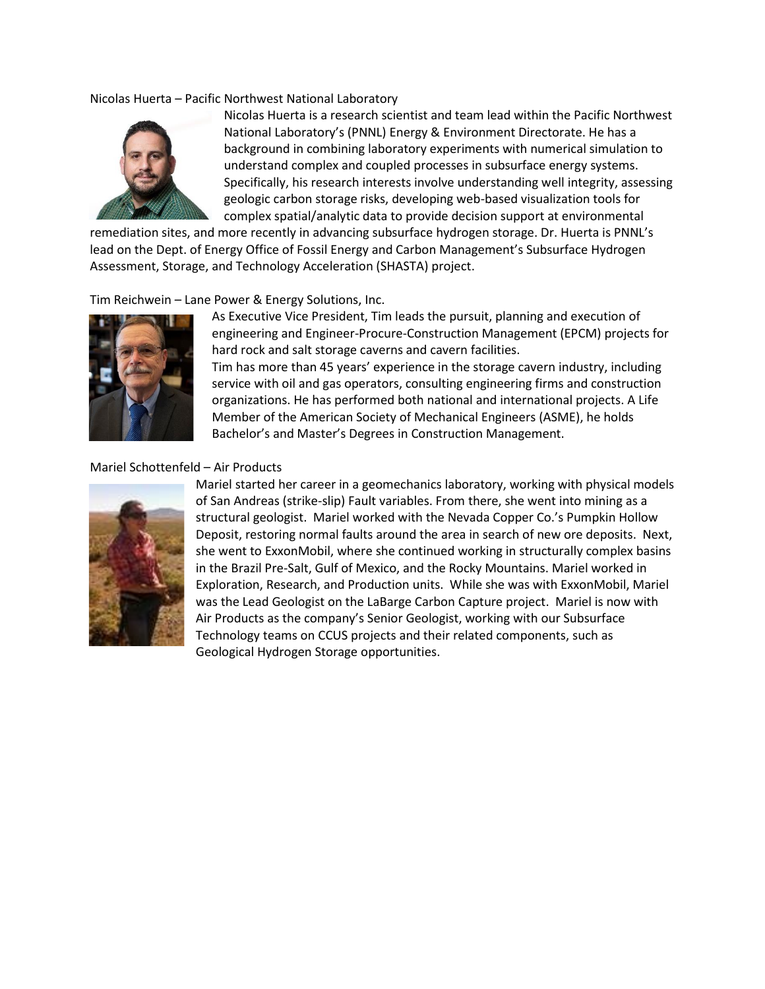### Nicolas Huerta – Pacific Northwest National Laboratory



Nicolas Huerta is a research scientist and team lead within the Pacific Northwest National Laboratory's (PNNL) Energy & Environment Directorate. He has a background in combining laboratory experiments with numerical simulation to understand complex and coupled processes in subsurface energy systems. Specifically, his research interests involve understanding well integrity, assessing geologic carbon storage risks, developing web-based visualization tools for complex spatial/analytic data to provide decision support at environmental

remediation sites, and more recently in advancing subsurface hydrogen storage. Dr. Huerta is PNNL's lead on the Dept. of Energy Office of Fossil Energy and Carbon Management's Subsurface Hydrogen Assessment, Storage, and Technology Acceleration (SHASTA) project.

## Tim Reichwein – Lane Power & Energy Solutions, Inc.



As Executive Vice President, Tim leads the pursuit, planning and execution of engineering and Engineer-Procure-Construction Management (EPCM) projects for hard rock and salt storage caverns and cavern facilities. Tim has more than 45 years' experience in the storage cavern industry, including service with oil and gas operators, consulting engineering firms and construction organizations. He has performed both national and international projects. A Life Member of the American Society of Mechanical Engineers (ASME), he holds Bachelor's and Master's Degrees in Construction Management.

## Mariel Schottenfeld – Air Products



Mariel started her career in a geomechanics laboratory, working with physical models of San Andreas (strike-slip) Fault variables. From there, she went into mining as a structural geologist. Mariel worked with the Nevada Copper Co.'s Pumpkin Hollow Deposit, restoring normal faults around the area in search of new ore deposits. Next, she went to ExxonMobil, where she continued working in structurally complex basins in the Brazil Pre-Salt, Gulf of Mexico, and the Rocky Mountains. Mariel worked in Exploration, Research, and Production units. While she was with ExxonMobil, Mariel was the Lead Geologist on the LaBarge Carbon Capture project. Mariel is now with Air Products as the company's Senior Geologist, working with our Subsurface Technology teams on CCUS projects and their related components, such as Geological Hydrogen Storage opportunities.